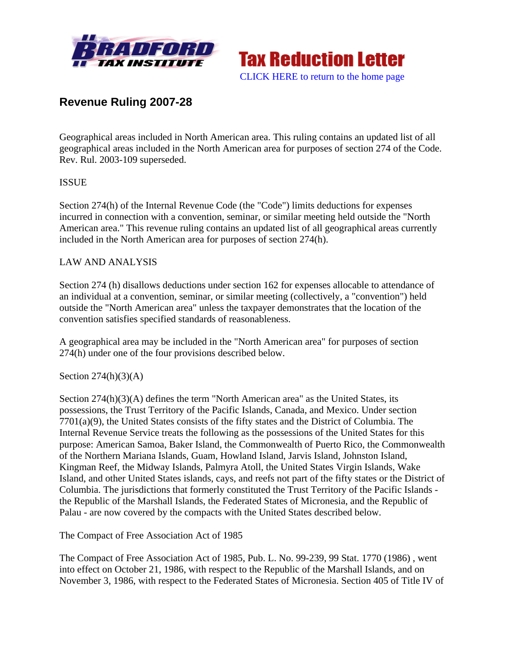



# **Revenue Ruling 2007-28**

Geographical areas included in North American area. This ruling contains an updated list of all geographical areas included in the North American area for purposes of section 274 of the Code. Rev. Rul. 2003-109 superseded.

## ISSUE

Section 274(h) of the Internal Revenue Code (the "Code") limits deductions for expenses incurred in connection with a convention, seminar, or similar meeting held outside the "North American area." This revenue ruling contains an updated list of all geographical areas currently included in the North American area for purposes of section 274(h).

#### LAW AND ANALYSIS

Section 274 (h) disallows deductions under section 162 for expenses allocable to attendance of an individual at a convention, seminar, or similar meeting (collectively, a "convention") held outside the "North American area" unless the taxpayer demonstrates that the location of the convention satisfies specified standards of reasonableness.

A geographical area may be included in the "North American area" for purposes of section 274(h) under one of the four provisions described below.

#### Section  $274(h)(3)(A)$

Section 274(h)(3)(A) defines the term "North American area" as the United States, its possessions, the Trust Territory of the Pacific Islands, Canada, and Mexico. Under section 7701(a)(9), the United States consists of the fifty states and the District of Columbia. The Internal Revenue Service treats the following as the possessions of the United States for this purpose: American Samoa, Baker Island, the Commonwealth of Puerto Rico, the Commonwealth of the Northern Mariana Islands, Guam, Howland Island, Jarvis Island, Johnston Island, Kingman Reef, the Midway Islands, Palmyra Atoll, the United States Virgin Islands, Wake Island, and other United States islands, cays, and reefs not part of the fifty states or the District of Columbia. The jurisdictions that formerly constituted the Trust Territory of the Pacific Islands the Republic of the Marshall Islands, the Federated States of Micronesia, and the Republic of Palau - are now covered by the compacts with the United States described below.

The Compact of Free Association Act of 1985

The Compact of Free Association Act of 1985, Pub. L. No. 99-239, 99 Stat. 1770 (1986) , went into effect on October 21, 1986, with respect to the Republic of the Marshall Islands, and on November 3, 1986, with respect to the Federated States of Micronesia. Section 405 of Title IV of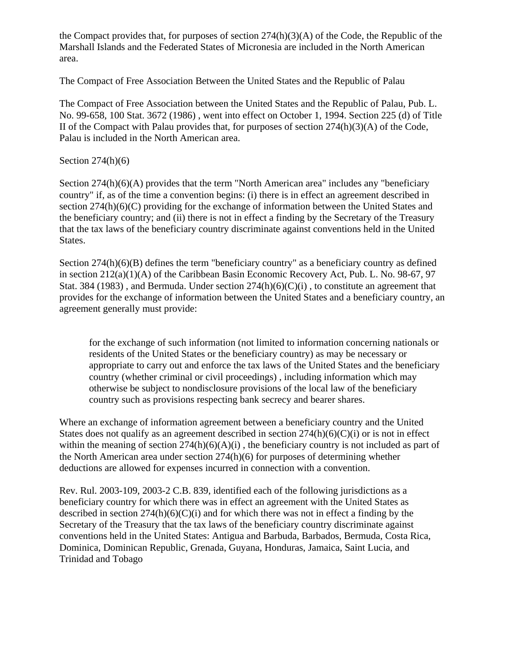the Compact provides that, for purposes of section  $274(h)(3)(A)$  of the Code, the Republic of the Marshall Islands and the Federated States of Micronesia are included in the North American area.

The Compact of Free Association Between the United States and the Republic of Palau

The Compact of Free Association between the United States and the Republic of Palau, Pub. L. No. 99-658, 100 Stat. 3672 (1986) , went into effect on October 1, 1994. Section 225 (d) of Title II of the Compact with Palau provides that, for purposes of section 274(h)(3)(A) of the Code, Palau is included in the North American area.

## Section  $274(h)(6)$

Section 274(h)(6)(A) provides that the term "North American area" includes any "beneficiary country" if, as of the time a convention begins: (i) there is in effect an agreement described in section 274(h)(6)(C) providing for the exchange of information between the United States and the beneficiary country; and (ii) there is not in effect a finding by the Secretary of the Treasury that the tax laws of the beneficiary country discriminate against conventions held in the United States.

Section 274(h)(6)(B) defines the term "beneficiary country" as a beneficiary country as defined in section 212(a)(1)(A) of the Caribbean Basin Economic Recovery Act, Pub. L. No. 98-67, 97 Stat. 384 (1983), and Bermuda. Under section  $274(h)(6)(C)(i)$ , to constitute an agreement that provides for the exchange of information between the United States and a beneficiary country, an agreement generally must provide:

for the exchange of such information (not limited to information concerning nationals or residents of the United States or the beneficiary country) as may be necessary or appropriate to carry out and enforce the tax laws of the United States and the beneficiary country (whether criminal or civil proceedings) , including information which may otherwise be subject to nondisclosure provisions of the local law of the beneficiary country such as provisions respecting bank secrecy and bearer shares.

Where an exchange of information agreement between a beneficiary country and the United States does not qualify as an agreement described in section  $274(h)(6)(C)(i)$  or is not in effect within the meaning of section  $274(h)(6)(A)(i)$ , the beneficiary country is not included as part of the North American area under section 274(h)(6) for purposes of determining whether deductions are allowed for expenses incurred in connection with a convention.

Rev. Rul. 2003-109, 2003-2 C.B. 839, identified each of the following jurisdictions as a beneficiary country for which there was in effect an agreement with the United States as described in section  $274(h)(6)(C)(i)$  and for which there was not in effect a finding by the Secretary of the Treasury that the tax laws of the beneficiary country discriminate against conventions held in the United States: Antigua and Barbuda, Barbados, Bermuda, Costa Rica, Dominica, Dominican Republic, Grenada, Guyana, Honduras, Jamaica, Saint Lucia, and Trinidad and Tobago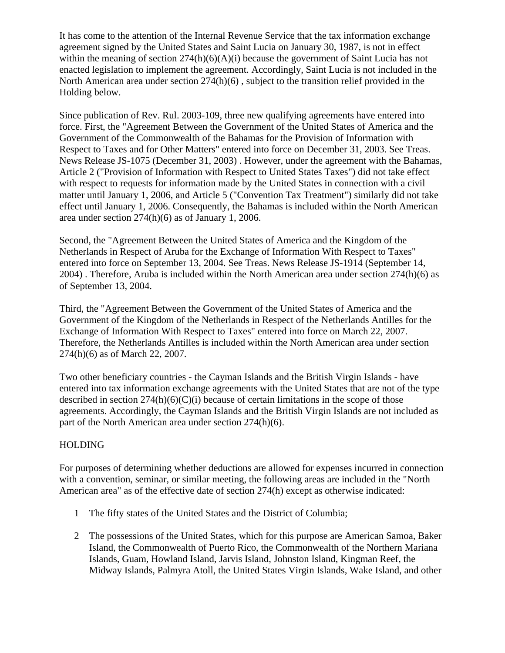It has come to the attention of the Internal Revenue Service that the tax information exchange agreement signed by the United States and Saint Lucia on January 30, 1987, is not in effect within the meaning of section  $274(h)(6)(A)(i)$  because the government of Saint Lucia has not enacted legislation to implement the agreement. Accordingly, Saint Lucia is not included in the North American area under section 274(h)(6) , subject to the transition relief provided in the Holding below.

Since publication of Rev. Rul. 2003-109, three new qualifying agreements have entered into force. First, the "Agreement Between the Government of the United States of America and the Government of the Commonwealth of the Bahamas for the Provision of Information with Respect to Taxes and for Other Matters" entered into force on December 31, 2003. See Treas. News Release JS-1075 (December 31, 2003) . However, under the agreement with the Bahamas, Article 2 ("Provision of Information with Respect to United States Taxes") did not take effect with respect to requests for information made by the United States in connection with a civil matter until January 1, 2006, and Article 5 ("Convention Tax Treatment") similarly did not take effect until January 1, 2006. Consequently, the Bahamas is included within the North American area under section 274(h)(6) as of January 1, 2006.

Second, the "Agreement Between the United States of America and the Kingdom of the Netherlands in Respect of Aruba for the Exchange of Information With Respect to Taxes" entered into force on September 13, 2004. See Treas. News Release JS-1914 (September 14, 2004) . Therefore, Aruba is included within the North American area under section 274(h)(6) as of September 13, 2004.

Third, the "Agreement Between the Government of the United States of America and the Government of the Kingdom of the Netherlands in Respect of the Netherlands Antilles for the Exchange of Information With Respect to Taxes" entered into force on March 22, 2007. Therefore, the Netherlands Antilles is included within the North American area under section 274(h)(6) as of March 22, 2007.

Two other beneficiary countries - the Cayman Islands and the British Virgin Islands - have entered into tax information exchange agreements with the United States that are not of the type described in section  $274(h)(6)(C)(i)$  because of certain limitations in the scope of those agreements. Accordingly, the Cayman Islands and the British Virgin Islands are not included as part of the North American area under section 274(h)(6).

## HOLDING

For purposes of determining whether deductions are allowed for expenses incurred in connection with a convention, seminar, or similar meeting, the following areas are included in the "North American area" as of the effective date of section 274(h) except as otherwise indicated:

- 1 The fifty states of the United States and the District of Columbia;
- 2 The possessions of the United States, which for this purpose are American Samoa, Baker Island, the Commonwealth of Puerto Rico, the Commonwealth of the Northern Mariana Islands, Guam, Howland Island, Jarvis Island, Johnston Island, Kingman Reef, the Midway Islands, Palmyra Atoll, the United States Virgin Islands, Wake Island, and other